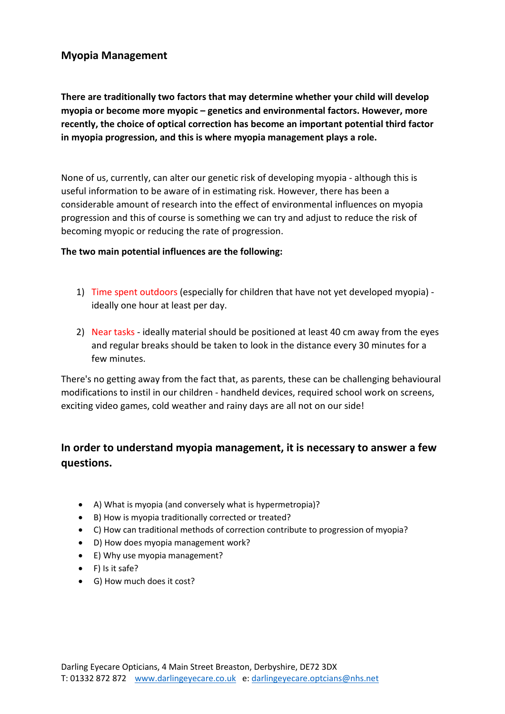## **Myopia Management**

**There are traditionally two factors that may determine whether your child will develop myopia or become more myopic – genetics and environmental factors. However, more recently, the choice of optical correction has become an important potential third factor in myopia progression, and this is where myopia management plays a role.** 

None of us, currently, can alter our genetic risk of developing myopia - although this is useful information to be aware of in estimating risk. However, there has been a considerable amount of research into the effect of environmental influences on myopia progression and this of course is something we can try and adjust to reduce the risk of becoming myopic or reducing the rate of progression.

## **The two main potential influences are the following:**

- 1) Time spent outdoors (especially for children that have not yet developed myopia) ideally one hour at least per day.
- 2) Near tasks ideally material should be positioned at least 40 cm away from the eyes and regular breaks should be taken to look in the distance every 30 minutes for a few minutes.

There's no getting away from the fact that, as parents, these can be challenging behavioural modifications to instil in our children - handheld devices, required school work on screens, exciting video games, cold weather and rainy days are all not on our side!

# **In order to understand myopia management, it is necessary to answer a few questions.**

- A) What is myopia (and conversely what is hypermetropia)?
- B) How is myopia traditionally corrected or treated?
- C) How can traditional methods of correction contribute to progression of myopia?
- D) How does myopia management work?
- E) Why use myopia management?
- F) Is it safe?
- G) How much does it cost?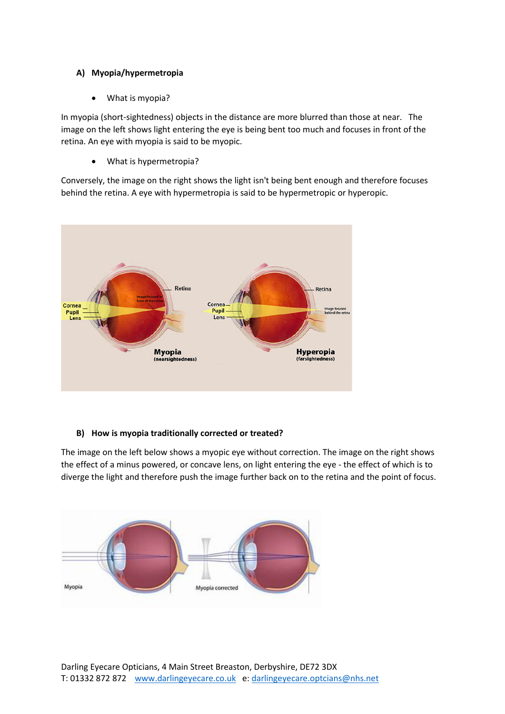## **A) Myopia/hypermetropia**

• What is myopia?

In myopia (short-sightedness) objects in the distance are more blurred than those at near. The image on the left shows light entering the eye is being bent too much and focuses in front of the retina. An eye with myopia is said to be myopic.

• What is hypermetropia?

Conversely, the image on the right shows the light isn't being bent enough and therefore focuses behind the retina. A eye with hypermetropia is said to be hypermetropic or hyperopic.



## **B) How is myopia traditionally corrected or treated?**

The image on the left below shows a myopic eye without correction. The image on the right shows the effect of a minus powered, or concave lens, on light entering the eye - the effect of which is to diverge the light and therefore push the image further back on to the retina and the point of focus.

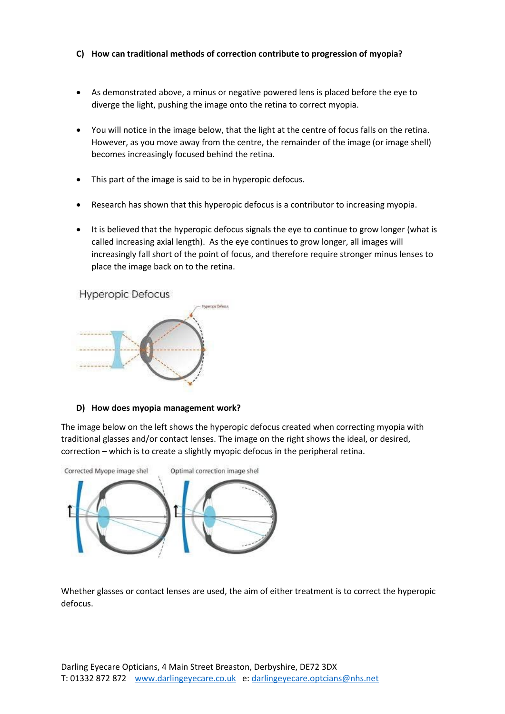#### **C) How can traditional methods of correction contribute to progression of myopia?**

- As demonstrated above, a minus or negative powered lens is placed before the eye to diverge the light, pushing the image onto the retina to correct myopia.
- You will notice in the image below, that the light at the centre of focus falls on the retina. However, as you move away from the centre, the remainder of the image (or image shell) becomes increasingly focused behind the retina.
- This part of the image is said to be in hyperopic defocus.
- Research has shown that this hyperopic defocus is a contributor to increasing myopia.
- It is believed that the hyperopic defocus signals the eye to continue to grow longer (what is called increasing axial length). As the eye continues to grow longer, all images will increasingly fall short of the point of focus, and therefore require stronger minus lenses to place the image back on to the retina.

**Hyperopic Defocus** 



#### **D) How does myopia management work?**

The image below on the left shows the hyperopic defocus created when correcting myopia with traditional glasses and/or contact lenses. The image on the right shows the ideal, or desired, correction – which is to create a slightly myopic defocus in the peripheral retina.



Whether glasses or contact lenses are used, the aim of either treatment is to correct the hyperopic defocus.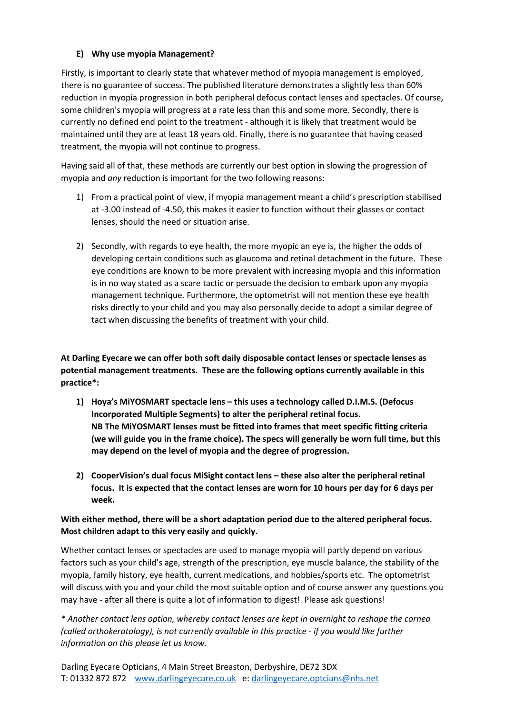## **E) Why use myopia Management?**

Firstly, is important to clearly state that whatever method of myopia management is employed, there is no guarantee of success. The published literature demonstrates a slightly less than 60% reduction in myopia progression in both peripheral defocus contact lenses and spectacles. Of course, some children's myopia will progress at a rate less than this and some more. Secondly, there is currently no defined end point to the treatment - although it is likely that treatment would be maintained until they are at least 18 years old. Finally, there is no guarantee that having ceased treatment, the myopia will not continue to progress.

Having said all of that, these methods are currently our best option in slowing the progression of myopia and *any* reduction is important for the two following reasons:

- 1) From a practical point of view, if myopia management meant a child's prescription stabilised at -3.00 instead of -4.50, this makes it easier to function without their glasses or contact lenses, should the need or situation arise.
- 2) Secondly, with regards to eye health, the more myopic an eye is, the higher the odds of developing certain conditions such as glaucoma and retinal detachment in the future. These eye conditions are known to be more prevalent with increasing myopia and this information is in no way stated as a scare tactic or persuade the decision to embark upon any myopia management technique. Furthermore, the optometrist will not mention these eye health risks directly to your child and you may also personally decide to adopt a similar degree of tact when discussing the benefits of treatment with your child.

**At Darling Eyecare we can offer both soft daily disposable contact lenses or spectacle lenses as potential management treatments. These are the following options currently available in this practice\*:**

- **1) Hoya's MiYOSMART spectacle lens – this uses a technology called D.I.M.S. (Defocus Incorporated Multiple Segments) to alter the peripheral retinal focus. NB The MiYOSMART lenses must be fitted into frames that meet specific fitting criteria (we will guide you in the frame choice). The specs will generally be worn full time, but this may depend on the level of myopia and the degree of progression.**
- **2) CooperVision's dual focus MiSight contact lens – these also alter the peripheral retinal focus. It is expected that the contact lenses are worn for 10 hours per day for 6 days per week.**

## **With either method, there will be a short adaptation period due to the altered peripheral focus. Most children adapt to this very easily and quickly.**

Whether contact lenses or spectacles are used to manage myopia will partly depend on various factors such as your child's age, strength of the prescription, eye muscle balance, the stability of the myopia, family history, eye health, current medications, and hobbies/sports etc. The optometrist will discuss with you and your child the most suitable option and of course answer any questions you may have - after all there is quite a lot of information to digest! Please ask questions!

*\* Another contact lens option, whereby contact lenses are kept in overnight to reshape the cornea (called orthokeratology), is not currently available in this practice - if you would like further information on this please let us know.*